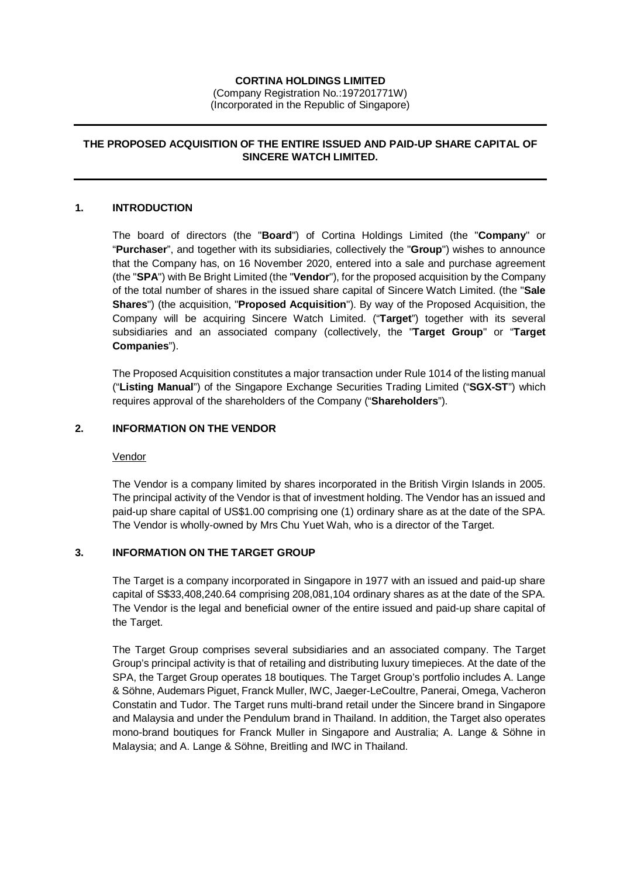## **CORTINA HOLDINGS LIMITED**

(Company Registration No.:197201771W) (Incorporated in the Republic of Singapore)

# **THE PROPOSED ACQUISITION OF THE ENTIRE ISSUED AND PAID-UP SHARE CAPITAL OF SINCERE WATCH LIMITED.**

#### **1. INTRODUCTION**

The board of directors (the "**Board**") of Cortina Holdings Limited (the "**Company**" or "**Purchaser**", and together with its subsidiaries, collectively the "**Group**") wishes to announce that the Company has, on 16 November 2020, entered into a sale and purchase agreement (the "**SPA**") with Be Bright Limited (the "**Vendor**"), for the proposed acquisition by the Company of the total number of shares in the issued share capital of Sincere Watch Limited. (the "**Sale Shares**") (the acquisition, "**Proposed Acquisition**"). By way of the Proposed Acquisition, the Company will be acquiring Sincere Watch Limited. ("**Target**") together with its several subsidiaries and an associated company (collectively, the "**Target Group**" or "**Target Companies**").

The Proposed Acquisition constitutes a major transaction under Rule 1014 of the listing manual ("**Listing Manual**") of the Singapore Exchange Securities Trading Limited ("**SGX-ST**") which requires approval of the shareholders of the Company ("**Shareholders**").

## **2. INFORMATION ON THE VENDOR**

#### Vendor

The Vendor is a company limited by shares incorporated in the British Virgin Islands in 2005. The principal activity of the Vendor is that of investment holding. The Vendor has an issued and paid-up share capital of US\$1.00 comprising one (1) ordinary share as at the date of the SPA. The Vendor is wholly-owned by Mrs Chu Yuet Wah, who is a director of the Target.

# **3. INFORMATION ON THE TARGET GROUP**

The Target is a company incorporated in Singapore in 1977 with an issued and paid-up share capital of S\$33,408,240.64 comprising 208,081,104 ordinary shares as at the date of the SPA. The Vendor is the legal and beneficial owner of the entire issued and paid-up share capital of the Target.

The Target Group comprises several subsidiaries and an associated company. The Target Group's principal activity is that of retailing and distributing luxury timepieces. At the date of the SPA, the Target Group operates 18 boutiques. The Target Group's portfolio includes A. Lange & Söhne, Audemars Piguet, Franck Muller, IWC, Jaeger-LeCoultre, Panerai, Omega, Vacheron Constatin and Tudor. The Target runs multi-brand retail under the Sincere brand in Singapore and Malaysia and under the Pendulum brand in Thailand. In addition, the Target also operates mono-brand boutiques for Franck Muller in Singapore and Australia; A. Lange & Söhne in Malaysia; and A. Lange & Söhne, Breitling and IWC in Thailand.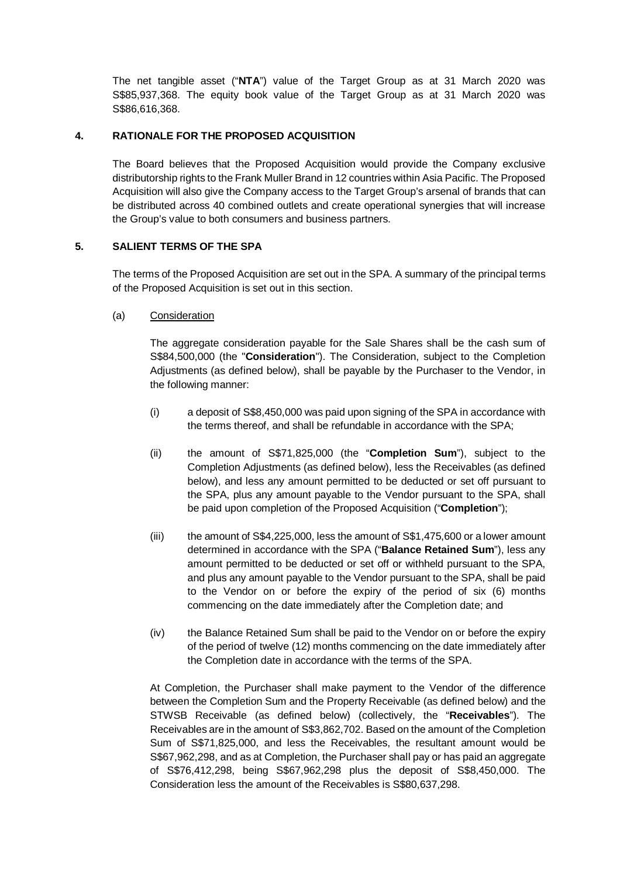The net tangible asset ("**NTA**") value of the Target Group as at 31 March 2020 was S\$85,937,368. The equity book value of the Target Group as at 31 March 2020 was S\$86,616,368.

# **4. RATIONALE FOR THE PROPOSED ACQUISITION**

The Board believes that the Proposed Acquisition would provide the Company exclusive distributorship rights to the Frank Muller Brand in 12 countries within Asia Pacific. The Proposed Acquisition will also give the Company access to the Target Group's arsenal of brands that can be distributed across 40 combined outlets and create operational synergies that will increase the Group's value to both consumers and business partners.

# **5. SALIENT TERMS OF THE SPA**

The terms of the Proposed Acquisition are set out in the SPA. A summary of the principal terms of the Proposed Acquisition is set out in this section.

(a) Consideration

The aggregate consideration payable for the Sale Shares shall be the cash sum of S\$84,500,000 (the "**Consideration**"). The Consideration, subject to the Completion Adjustments (as defined below), shall be payable by the Purchaser to the Vendor, in the following manner:

- (i) a deposit of S\$8,450,000 was paid upon signing of the SPA in accordance with the terms thereof, and shall be refundable in accordance with the SPA;
- (ii) the amount of S\$71,825,000 (the "**Completion Sum**"), subject to the Completion Adjustments (as defined below), less the Receivables (as defined below), and less any amount permitted to be deducted or set off pursuant to the SPA, plus any amount payable to the Vendor pursuant to the SPA, shall be paid upon completion of the Proposed Acquisition ("**Completion**");
- (iii) the amount of S\$4,225,000, less the amount of S\$1,475,600 or a lower amount determined in accordance with the SPA ("**Balance Retained Sum**"), less any amount permitted to be deducted or set off or withheld pursuant to the SPA, and plus any amount payable to the Vendor pursuant to the SPA, shall be paid to the Vendor on or before the expiry of the period of six (6) months commencing on the date immediately after the Completion date; and
- (iv) the Balance Retained Sum shall be paid to the Vendor on or before the expiry of the period of twelve (12) months commencing on the date immediately after the Completion date in accordance with the terms of the SPA.

At Completion, the Purchaser shall make payment to the Vendor of the difference between the Completion Sum and the Property Receivable (as defined below) and the STWSB Receivable (as defined below) (collectively, the "**Receivables**"). The Receivables are in the amount of S\$3,862,702. Based on the amount of the Completion Sum of S\$71,825,000, and less the Receivables, the resultant amount would be S\$67,962,298, and as at Completion, the Purchaser shall pay or has paid an aggregate of S\$76,412,298, being S\$67,962,298 plus the deposit of S\$8,450,000. The Consideration less the amount of the Receivables is S\$80,637,298.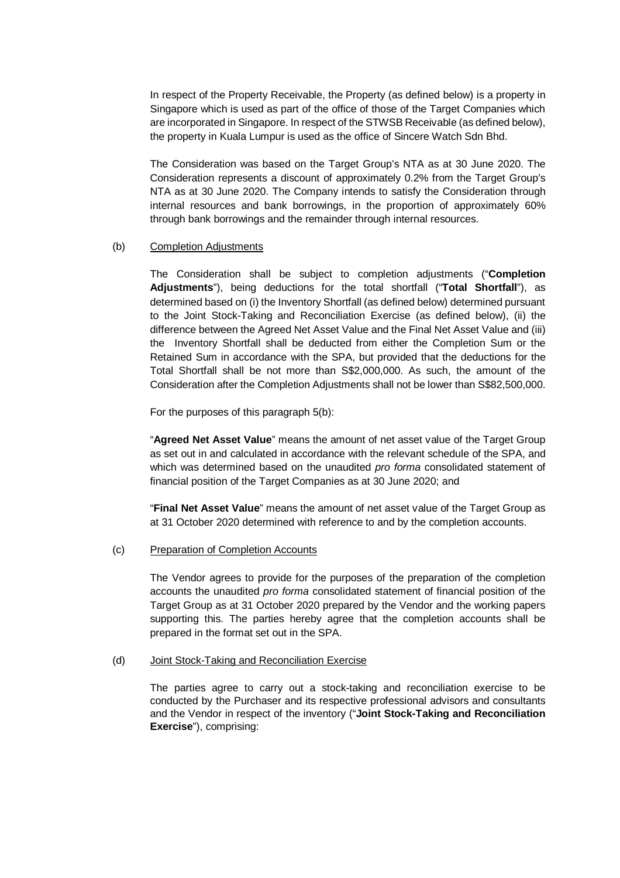In respect of the Property Receivable, the Property (as defined below) is a property in Singapore which is used as part of the office of those of the Target Companies which are incorporated in Singapore. In respect of the STWSB Receivable (as defined below), the property in Kuala Lumpur is used as the office of Sincere Watch Sdn Bhd.

The Consideration was based on the Target Group's NTA as at 30 June 2020. The Consideration represents a discount of approximately 0.2% from the Target Group's NTA as at 30 June 2020. The Company intends to satisfy the Consideration through internal resources and bank borrowings, in the proportion of approximately 60% through bank borrowings and the remainder through internal resources.

#### (b) Completion Adjustments

The Consideration shall be subject to completion adjustments ("**Completion Adjustments**"), being deductions for the total shortfall ("**Total Shortfall**"), as determined based on (i) the Inventory Shortfall (as defined below) determined pursuant to the Joint Stock-Taking and Reconciliation Exercise (as defined below), (ii) the difference between the Agreed Net Asset Value and the Final Net Asset Value and (iii) the Inventory Shortfall shall be deducted from either the Completion Sum or the Retained Sum in accordance with the SPA, but provided that the deductions for the Total Shortfall shall be not more than S\$2,000,000. As such, the amount of the Consideration after the Completion Adjustments shall not be lower than S\$82,500,000.

For the purposes of this paragraph 5(b):

"**Agreed Net Asset Value**" means the amount of net asset value of the Target Group as set out in and calculated in accordance with the relevant schedule of the SPA, and which was determined based on the unaudited *pro forma* consolidated statement of financial position of the Target Companies as at 30 June 2020; and

"**Final Net Asset Value**" means the amount of net asset value of the Target Group as at 31 October 2020 determined with reference to and by the completion accounts.

#### (c) Preparation of Completion Accounts

The Vendor agrees to provide for the purposes of the preparation of the completion accounts the unaudited *pro forma* consolidated statement of financial position of the Target Group as at 31 October 2020 prepared by the Vendor and the working papers supporting this. The parties hereby agree that the completion accounts shall be prepared in the format set out in the SPA.

### (d) Joint Stock-Taking and Reconciliation Exercise

The parties agree to carry out a stock-taking and reconciliation exercise to be conducted by the Purchaser and its respective professional advisors and consultants and the Vendor in respect of the inventory ("**Joint Stock-Taking and Reconciliation Exercise**"), comprising: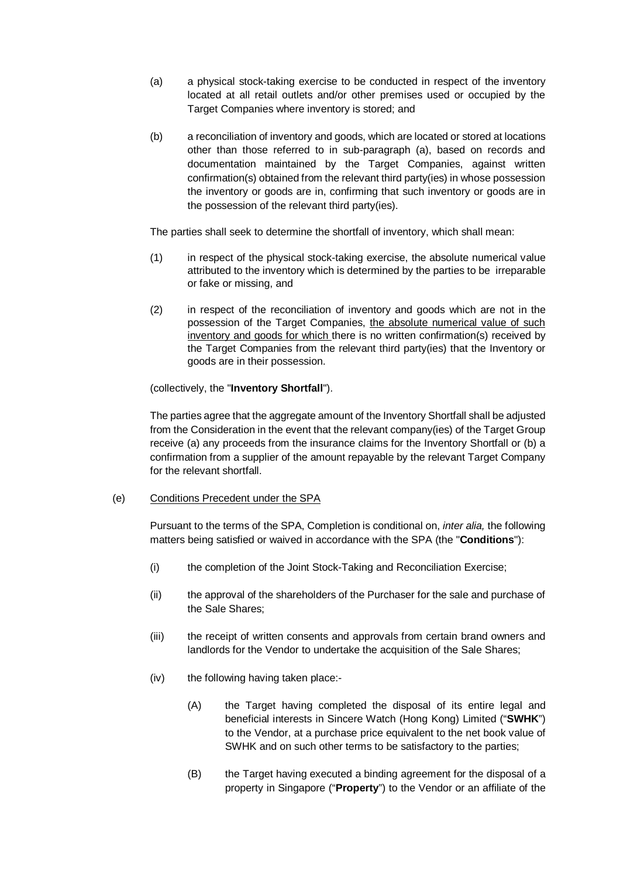- (a) a physical stock-taking exercise to be conducted in respect of the inventory located at all retail outlets and/or other premises used or occupied by the Target Companies where inventory is stored; and
- (b) a reconciliation of inventory and goods, which are located or stored at locations other than those referred to in sub-paragraph (a), based on records and documentation maintained by the Target Companies, against written confirmation(s) obtained from the relevant third party(ies) in whose possession the inventory or goods are in, confirming that such inventory or goods are in the possession of the relevant third party(ies).

The parties shall seek to determine the shortfall of inventory, which shall mean:

- (1) in respect of the physical stock-taking exercise, the absolute numerical value attributed to the inventory which is determined by the parties to be irreparable or fake or missing, and
- (2) in respect of the reconciliation of inventory and goods which are not in the possession of the Target Companies, the absolute numerical value of such inventory and goods for which there is no written confirmation(s) received by the Target Companies from the relevant third party(ies) that the Inventory or goods are in their possession.

(collectively, the "**Inventory Shortfall**").

The parties agree that the aggregate amount of the Inventory Shortfall shall be adjusted from the Consideration in the event that the relevant company(ies) of the Target Group receive (a) any proceeds from the insurance claims for the Inventory Shortfall or (b) a confirmation from a supplier of the amount repayable by the relevant Target Company for the relevant shortfall.

## (e) Conditions Precedent under the SPA

Pursuant to the terms of the SPA, Completion is conditional on, *inter alia,* the following matters being satisfied or waived in accordance with the SPA (the "**Conditions**"):

- (i) the completion of the Joint Stock-Taking and Reconciliation Exercise;
- (ii) the approval of the shareholders of the Purchaser for the sale and purchase of the Sale Shares;
- (iii) the receipt of written consents and approvals from certain brand owners and landlords for the Vendor to undertake the acquisition of the Sale Shares;
- (iv) the following having taken place:-
	- (A) the Target having completed the disposal of its entire legal and beneficial interests in Sincere Watch (Hong Kong) Limited ("**SWHK**") to the Vendor, at a purchase price equivalent to the net book value of SWHK and on such other terms to be satisfactory to the parties;
	- (B) the Target having executed a binding agreement for the disposal of a property in Singapore ("**Property**") to the Vendor or an affiliate of the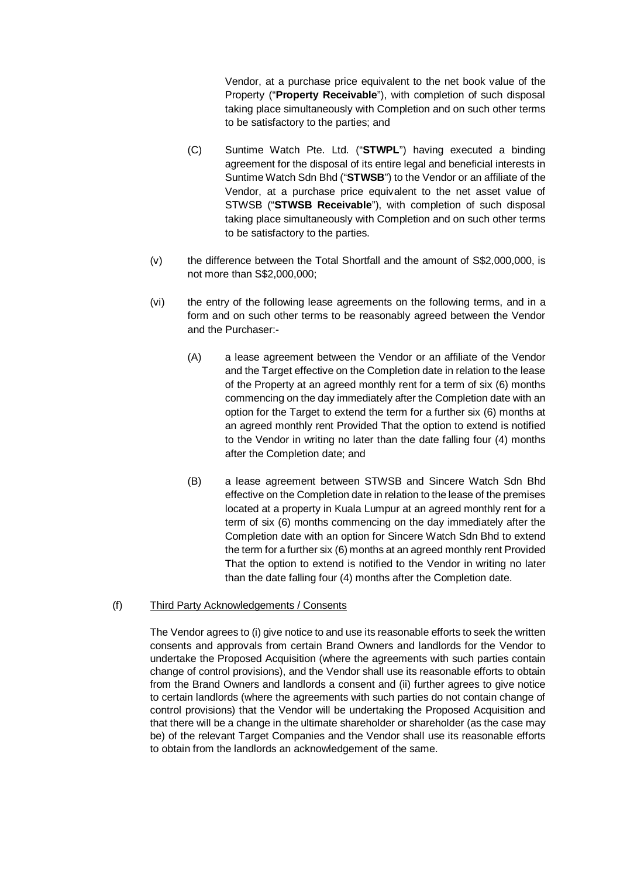Vendor, at a purchase price equivalent to the net book value of the Property ("**Property Receivable**"), with completion of such disposal taking place simultaneously with Completion and on such other terms to be satisfactory to the parties; and

- (C) Suntime Watch Pte. Ltd. ("**STWPL**") having executed a binding agreement for the disposal of its entire legal and beneficial interests in Suntime Watch Sdn Bhd ("**STWSB**") to the Vendor or an affiliate of the Vendor, at a purchase price equivalent to the net asset value of STWSB ("**STWSB Receivable**"), with completion of such disposal taking place simultaneously with Completion and on such other terms to be satisfactory to the parties.
- (v) the difference between the Total Shortfall and the amount of S\$2,000,000, is not more than S\$2,000,000;
- (vi) the entry of the following lease agreements on the following terms, and in a form and on such other terms to be reasonably agreed between the Vendor and the Purchaser:-
	- (A) a lease agreement between the Vendor or an affiliate of the Vendor and the Target effective on the Completion date in relation to the lease of the Property at an agreed monthly rent for a term of six (6) months commencing on the day immediately after the Completion date with an option for the Target to extend the term for a further six (6) months at an agreed monthly rent Provided That the option to extend is notified to the Vendor in writing no later than the date falling four (4) months after the Completion date; and
	- (B) a lease agreement between STWSB and Sincere Watch Sdn Bhd effective on the Completion date in relation to the lease of the premises located at a property in Kuala Lumpur at an agreed monthly rent for a term of six (6) months commencing on the day immediately after the Completion date with an option for Sincere Watch Sdn Bhd to extend the term for a further six (6) months at an agreed monthly rent Provided That the option to extend is notified to the Vendor in writing no later than the date falling four (4) months after the Completion date.

#### (f) Third Party Acknowledgements / Consents

The Vendor agrees to (i) give notice to and use its reasonable efforts to seek the written consents and approvals from certain Brand Owners and landlords for the Vendor to undertake the Proposed Acquisition (where the agreements with such parties contain change of control provisions), and the Vendor shall use its reasonable efforts to obtain from the Brand Owners and landlords a consent and (ii) further agrees to give notice to certain landlords (where the agreements with such parties do not contain change of control provisions) that the Vendor will be undertaking the Proposed Acquisition and that there will be a change in the ultimate shareholder or shareholder (as the case may be) of the relevant Target Companies and the Vendor shall use its reasonable efforts to obtain from the landlords an acknowledgement of the same.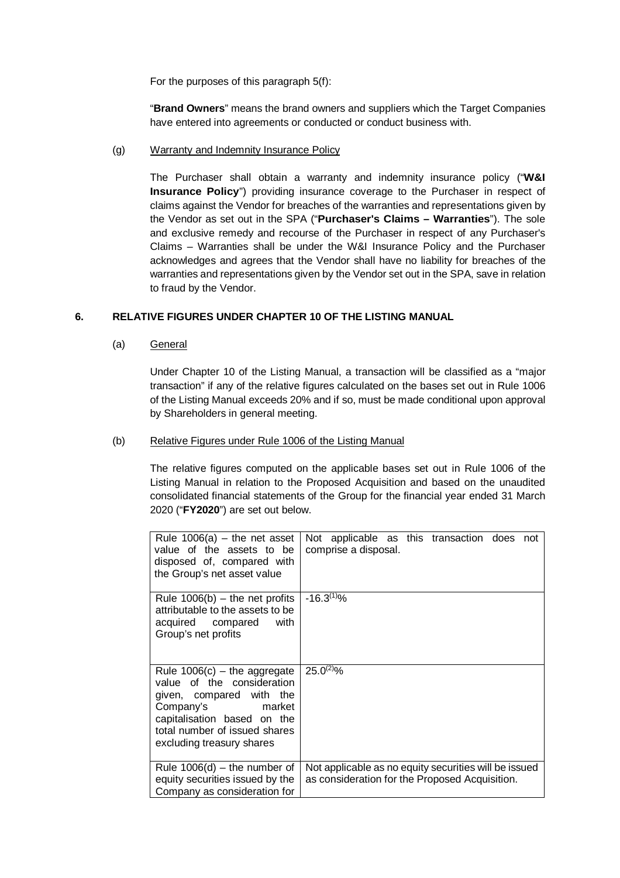For the purposes of this paragraph 5(f):

"**Brand Owners**" means the brand owners and suppliers which the Target Companies have entered into agreements or conducted or conduct business with.

(g) Warranty and Indemnity Insurance Policy

The Purchaser shall obtain a warranty and indemnity insurance policy ("**W&I Insurance Policy**") providing insurance coverage to the Purchaser in respect of claims against the Vendor for breaches of the warranties and representations given by the Vendor as set out in the SPA ("**Purchaser's Claims – Warranties**"). The sole and exclusive remedy and recourse of the Purchaser in respect of any Purchaser's Claims – Warranties shall be under the W&I Insurance Policy and the Purchaser acknowledges and agrees that the Vendor shall have no liability for breaches of the warranties and representations given by the Vendor set out in the SPA, save in relation to fraud by the Vendor.

## **6. RELATIVE FIGURES UNDER CHAPTER 10 OF THE LISTING MANUAL**

(a) General

Under Chapter 10 of the Listing Manual, a transaction will be classified as a "major transaction" if any of the relative figures calculated on the bases set out in Rule 1006 of the Listing Manual exceeds 20% and if so, must be made conditional upon approval by Shareholders in general meeting.

### (b) Relative Figures under Rule 1006 of the Listing Manual

The relative figures computed on the applicable bases set out in Rule 1006 of the Listing Manual in relation to the Proposed Acquisition and based on the unaudited consolidated financial statements of the Group for the financial year ended 31 March 2020 ("**FY2020**") are set out below.

| Rule $1006(a)$ – the net asset<br>value of the assets to be<br>disposed of, compared with<br>the Group's net asset value                                                                                  | Not applicable as this transaction does not<br>comprise a disposal.                                     |
|-----------------------------------------------------------------------------------------------------------------------------------------------------------------------------------------------------------|---------------------------------------------------------------------------------------------------------|
| Rule $1006(b)$ – the net profits<br>attributable to the assets to be<br>acquired compared with<br>Group's net profits                                                                                     | $-16.3^{(1)}%$                                                                                          |
| Rule $1006(c)$ – the aggregate<br>value of the consideration<br>given, compared with the<br>Company's market<br>capitalisation based on the<br>total number of issued shares<br>excluding treasury shares | $25.0^{(2)}\%$                                                                                          |
| Rule $1006(d)$ – the number of<br>equity securities issued by the<br>Company as consideration for                                                                                                         | Not applicable as no equity securities will be issued<br>as consideration for the Proposed Acquisition. |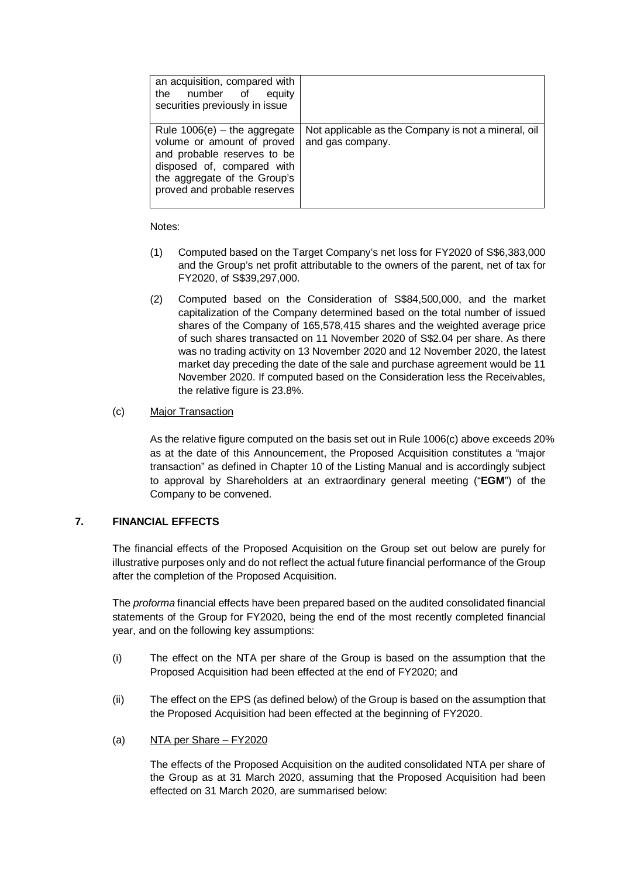| an acquisition, compared with<br>the number of equity<br>securities previously in issue                                                                                                   |                                                                         |
|-------------------------------------------------------------------------------------------------------------------------------------------------------------------------------------------|-------------------------------------------------------------------------|
| Rule $1006(e)$ – the aggregate<br>volume or amount of proved<br>and probable reserves to be<br>disposed of, compared with<br>the aggregate of the Group's<br>proved and probable reserves | Not applicable as the Company is not a mineral, oil<br>and gas company. |

Notes:

- (1) Computed based on the Target Company's net loss for FY2020 of S\$6,383,000 and the Group's net profit attributable to the owners of the parent, net of tax for FY2020, of S\$39,297,000.
- (2) Computed based on the Consideration of S\$84,500,000, and the market capitalization of the Company determined based on the total number of issued shares of the Company of 165,578,415 shares and the weighted average price of such shares transacted on 11 November 2020 of S\$2.04 per share. As there was no trading activity on 13 November 2020 and 12 November 2020, the latest market day preceding the date of the sale and purchase agreement would be 11 November 2020. If computed based on the Consideration less the Receivables, the relative figure is 23.8%.

## (c) Major Transaction

As the relative figure computed on the basis set out in Rule 1006(c) above exceeds 20% as at the date of this Announcement, the Proposed Acquisition constitutes a "major transaction" as defined in Chapter 10 of the Listing Manual and is accordingly subject to approval by Shareholders at an extraordinary general meeting ("**EGM**") of the Company to be convened.

## **7. FINANCIAL EFFECTS**

The financial effects of the Proposed Acquisition on the Group set out below are purely for illustrative purposes only and do not reflect the actual future financial performance of the Group after the completion of the Proposed Acquisition.

The *proforma* financial effects have been prepared based on the audited consolidated financial statements of the Group for FY2020, being the end of the most recently completed financial year, and on the following key assumptions:

- (i) The effect on the NTA per share of the Group is based on the assumption that the Proposed Acquisition had been effected at the end of FY2020; and
- (ii) The effect on the EPS (as defined below) of the Group is based on the assumption that the Proposed Acquisition had been effected at the beginning of FY2020.
- (a) NTA per Share FY2020

The effects of the Proposed Acquisition on the audited consolidated NTA per share of the Group as at 31 March 2020, assuming that the Proposed Acquisition had been effected on 31 March 2020, are summarised below: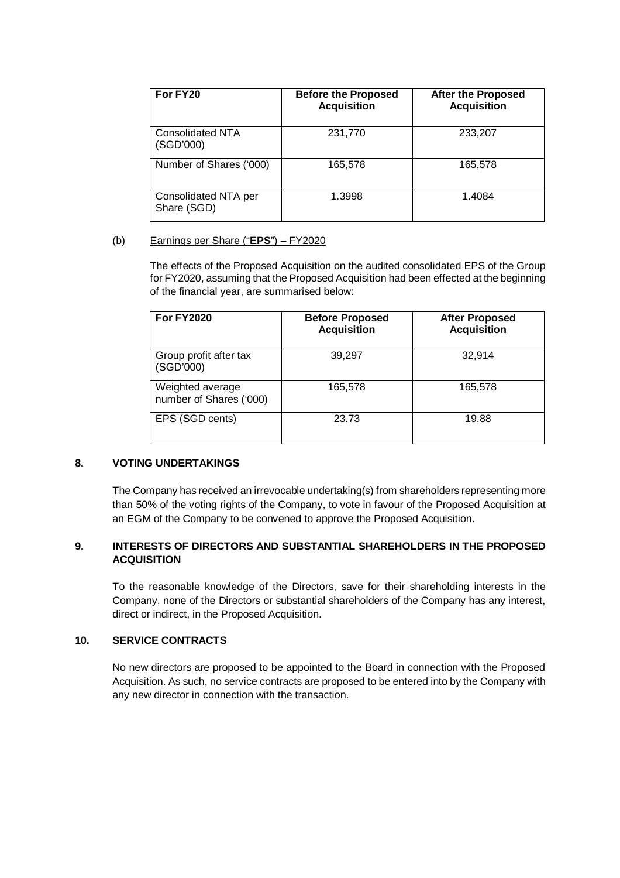| For FY20                             | <b>Before the Proposed</b><br><b>Acquisition</b> | <b>After the Proposed</b><br><b>Acquisition</b> |
|--------------------------------------|--------------------------------------------------|-------------------------------------------------|
| <b>Consolidated NTA</b><br>(SGD'000) | 231,770                                          | 233,207                                         |
| Number of Shares ('000)              | 165,578                                          | 165,578                                         |
| Consolidated NTA per<br>Share (SGD)  | 1.3998                                           | 1.4084                                          |

## (b) Earnings per Share ("**EPS**") – FY2020

The effects of the Proposed Acquisition on the audited consolidated EPS of the Group for FY2020, assuming that the Proposed Acquisition had been effected at the beginning of the financial year, are summarised below:

| <b>For FY2020</b>                           | <b>Before Proposed</b><br><b>Acquisition</b> | <b>After Proposed</b><br><b>Acquisition</b> |
|---------------------------------------------|----------------------------------------------|---------------------------------------------|
| Group profit after tax<br>(SGD'000)         | 39,297                                       | 32,914                                      |
| Weighted average<br>number of Shares ('000) | 165,578                                      | 165.578                                     |
| EPS (SGD cents)                             | 23.73                                        | 19.88                                       |

#### **8. VOTING UNDERTAKINGS**

The Company has received an irrevocable undertaking(s) from shareholders representing more than 50% of the voting rights of the Company, to vote in favour of the Proposed Acquisition at an EGM of the Company to be convened to approve the Proposed Acquisition.

# **9. INTERESTS OF DIRECTORS AND SUBSTANTIAL SHAREHOLDERS IN THE PROPOSED ACQUISITION**

To the reasonable knowledge of the Directors, save for their shareholding interests in the Company, none of the Directors or substantial shareholders of the Company has any interest, direct or indirect, in the Proposed Acquisition.

## **10. SERVICE CONTRACTS**

No new directors are proposed to be appointed to the Board in connection with the Proposed Acquisition. As such, no service contracts are proposed to be entered into by the Company with any new director in connection with the transaction.